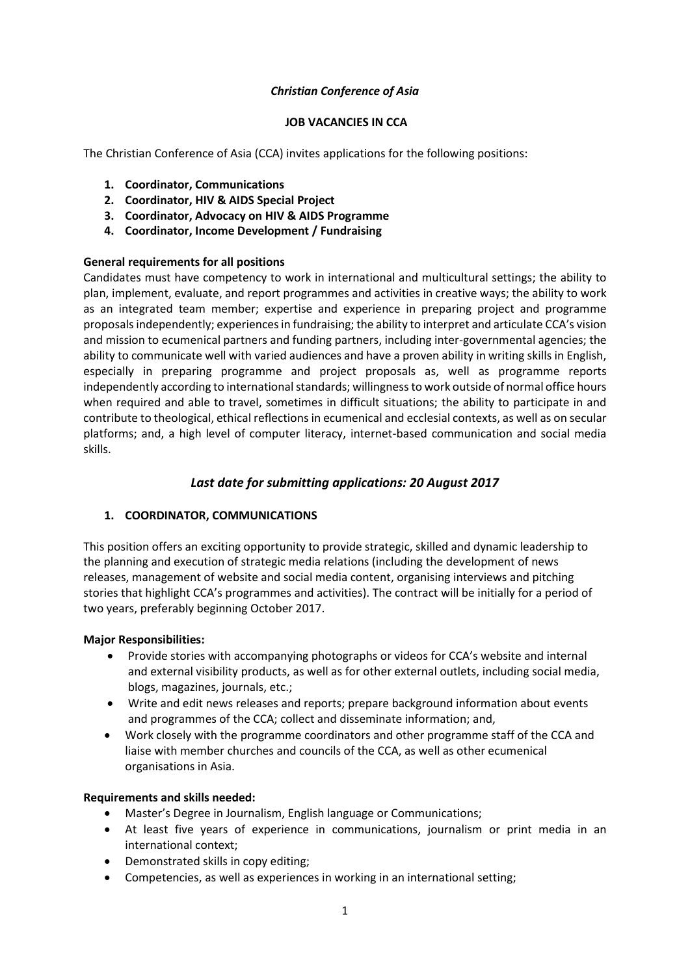#### *Christian Conference of Asia*

#### **JOB VACANCIES IN CCA**

The Christian Conference of Asia (CCA) invites applications for the following positions:

- **1. Coordinator, Communications**
- **2. Coordinator, HIV & AIDS Special Project**
- **3. Coordinator, Advocacy on HIV & AIDS Programme**
- **4. Coordinator, Income Development / Fundraising**

#### **General requirements for all positions**

Candidates must have competency to work in international and multicultural settings; the ability to plan, implement, evaluate, and report programmes and activities in creative ways; the ability to work as an integrated team member; expertise and experience in preparing project and programme proposals independently; experiences in fundraising; the ability to interpret and articulate CCA's vision and mission to ecumenical partners and funding partners, including inter-governmental agencies; the ability to communicate well with varied audiences and have a proven ability in writing skills in English, especially in preparing programme and project proposals as, well as programme reports independently according to international standards; willingness to work outside of normal office hours when required and able to travel, sometimes in difficult situations; the ability to participate in and contribute to theological, ethical reflections in ecumenical and ecclesial contexts, as well as on secular platforms; and, a high level of computer literacy, internet-based communication and social media skills.

## *Last date for submitting applications: 20 August 2017*

## **1. COORDINATOR, COMMUNICATIONS**

This position offers an exciting opportunity to provide strategic, skilled and dynamic leadership to the planning and execution of strategic media relations (including the development of news releases, management of website and social media content, organising interviews and pitching stories that highlight CCA's programmes and activities). The contract will be initially for a period of two years, preferably beginning October 2017.

#### **Major Responsibilities:**

- Provide stories with accompanying photographs or videos for CCA's website and internal and external visibility products, as well as for other external outlets, including social media, blogs, magazines, journals, etc.;
- Write and edit news releases and reports; prepare background information about events and programmes of the CCA; collect and disseminate information; and,
- Work closely with the programme coordinators and other programme staff of the CCA and liaise with member churches and councils of the CCA, as well as other ecumenical organisations in Asia.

#### **Requirements and skills needed:**

- Master's Degree in Journalism, English language or Communications;
- At least five years of experience in communications, journalism or print media in an international context;
- Demonstrated skills in copy editing;
- Competencies, as well as experiences in working in an international setting;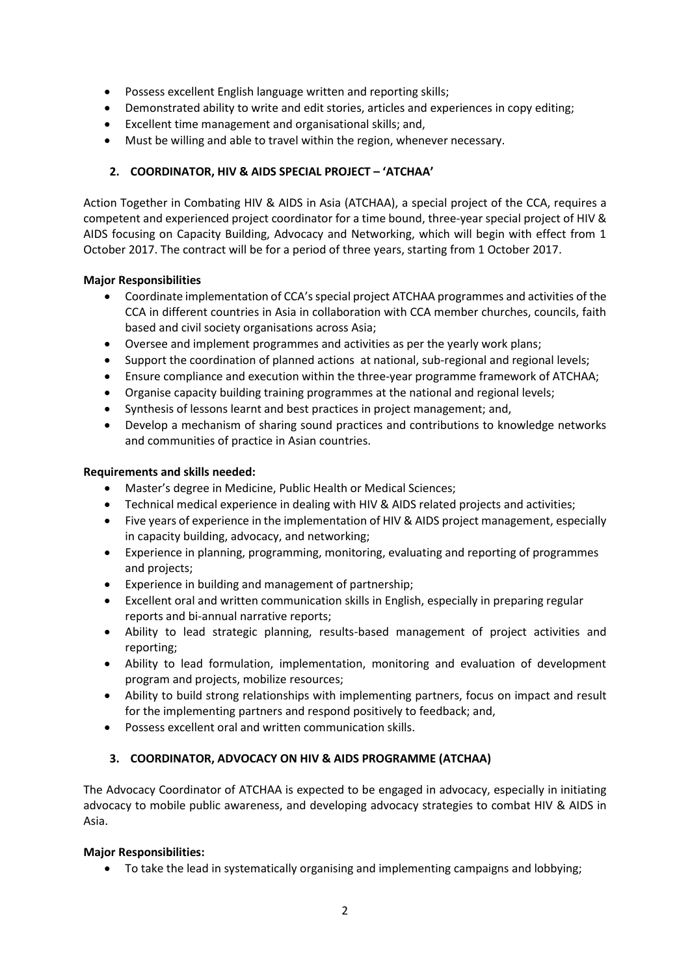- Possess excellent English language written and reporting skills;
- Demonstrated ability to write and edit stories, articles and experiences in copy editing;
- Excellent time management and organisational skills; and,
- Must be willing and able to travel within the region, whenever necessary.

# **2. COORDINATOR, HIV & AIDS SPECIAL PROJECT – 'ATCHAA'**

Action Together in Combating HIV & AIDS in Asia (ATCHAA), a special project of the CCA, requires a competent and experienced project coordinator for a time bound, three-year special project of HIV & AIDS focusing on Capacity Building, Advocacy and Networking, which will begin with effect from 1 October 2017. The contract will be for a period of three years, starting from 1 October 2017.

## **Major Responsibilities**

- Coordinate implementation of CCA's special project ATCHAA programmes and activities of the CCA in different countries in Asia in collaboration with CCA member churches, councils, faith based and civil society organisations across Asia;
- Oversee and implement programmes and activities as per the yearly work plans;
- Support the coordination of planned actions at national, sub-regional and regional levels;
- Ensure compliance and execution within the three-year programme framework of ATCHAA;
- Organise capacity building training programmes at the national and regional levels;
- Synthesis of lessons learnt and best practices in project management; and,
- Develop a mechanism of sharing sound practices and contributions to knowledge networks and communities of practice in Asian countries.

#### **Requirements and skills needed:**

- Master's degree in Medicine, Public Health or Medical Sciences;
- Technical medical experience in dealing with HIV & AIDS related projects and activities;
- Five years of experience in the implementation of HIV & AIDS project management, especially in capacity building, advocacy, and networking;
- Experience in planning, programming, monitoring, evaluating and reporting of programmes and projects;
- Experience in building and management of partnership;
- Excellent oral and written communication skills in English, especially in preparing regular reports and bi-annual narrative reports;
- Ability to lead strategic planning, results-based management of project activities and reporting;
- Ability to lead formulation, implementation, monitoring and evaluation of development program and projects, mobilize resources;
- Ability to build strong relationships with implementing partners, focus on impact and result for the implementing partners and respond positively to feedback; and,
- Possess excellent oral and written communication skills.

## **3. COORDINATOR, ADVOCACY ON HIV & AIDS PROGRAMME (ATCHAA)**

The Advocacy Coordinator of ATCHAA is expected to be engaged in advocacy, especially in initiating advocacy to mobile public awareness, and developing advocacy strategies to combat HIV & AIDS in Asia.

## **Major Responsibilities:**

To take the lead in systematically organising and implementing campaigns and lobbying;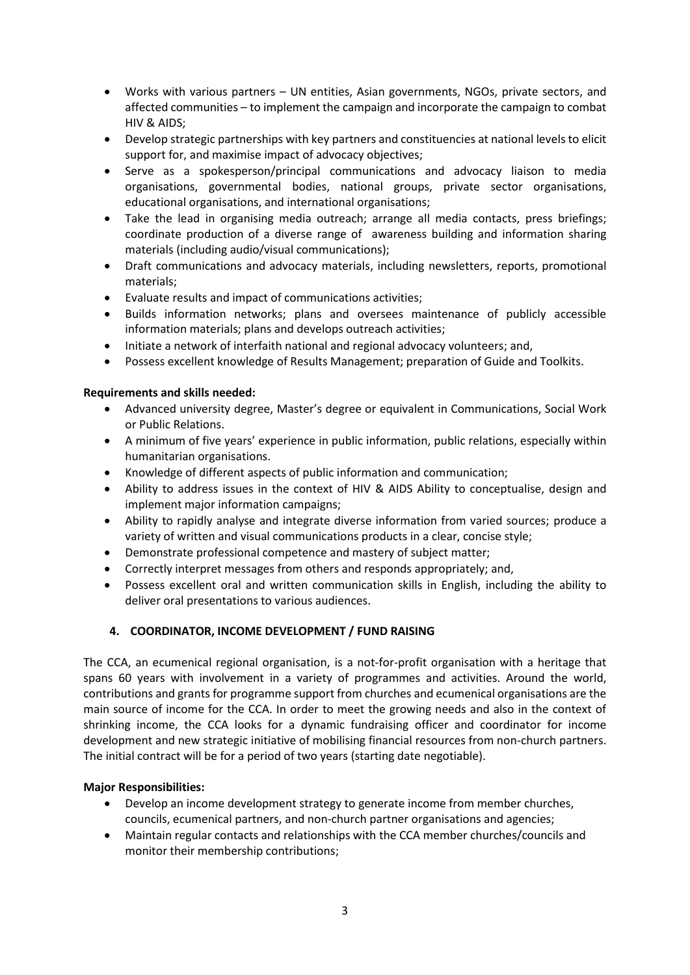- Works with various partners UN entities, Asian governments, NGOs, private sectors, and affected communities – to implement the campaign and incorporate the campaign to combat HIV & AIDS;
- Develop strategic partnerships with key partners and constituencies at national levels to elicit support for, and maximise impact of advocacy objectives;
- Serve as a spokesperson/principal communications and advocacy liaison to media organisations, governmental bodies, national groups, private sector organisations, educational organisations, and international organisations;
- Take the lead in organising media outreach; arrange all media contacts, press briefings; coordinate production of a diverse range of awareness building and information sharing materials (including audio/visual communications);
- Draft communications and advocacy materials, including newsletters, reports, promotional materials;
- Evaluate results and impact of communications activities;
- Builds information networks; plans and oversees maintenance of publicly accessible information materials; plans and develops outreach activities;
- Initiate a network of interfaith national and regional advocacy volunteers; and,
- Possess excellent knowledge of Results Management; preparation of Guide and Toolkits.

## **Requirements and skills needed:**

- Advanced university degree, Master's degree or equivalent in Communications, Social Work or Public Relations.
- A minimum of five years' experience in public information, public relations, especially within humanitarian organisations.
- Knowledge of different aspects of public information and communication;
- Ability to address issues in the context of HIV & AIDS Ability to conceptualise, design and implement major information campaigns;
- Ability to rapidly analyse and integrate diverse information from varied sources; produce a variety of written and visual communications products in a clear, concise style;
- Demonstrate professional competence and mastery of subject matter;
- Correctly interpret messages from others and responds appropriately; and,
- Possess excellent oral and written communication skills in English, including the ability to deliver oral presentations to various audiences.

# **4. COORDINATOR, INCOME DEVELOPMENT / FUND RAISING**

The CCA, an ecumenical regional organisation, is a not-for-profit organisation with a heritage that spans 60 years with involvement in a variety of programmes and activities. Around the world, contributions and grants for programme support from churches and ecumenical organisations are the main source of income for the CCA. In order to meet the growing needs and also in the context of shrinking income, the CCA looks for a dynamic fundraising officer and coordinator for income development and new strategic initiative of mobilising financial resources from non-church partners. The initial contract will be for a period of two years (starting date negotiable).

## **Major Responsibilities:**

- Develop an income development strategy to generate income from member churches, councils, ecumenical partners, and non-church partner organisations and agencies;
- Maintain regular contacts and relationships with the CCA member churches/councils and monitor their membership contributions;